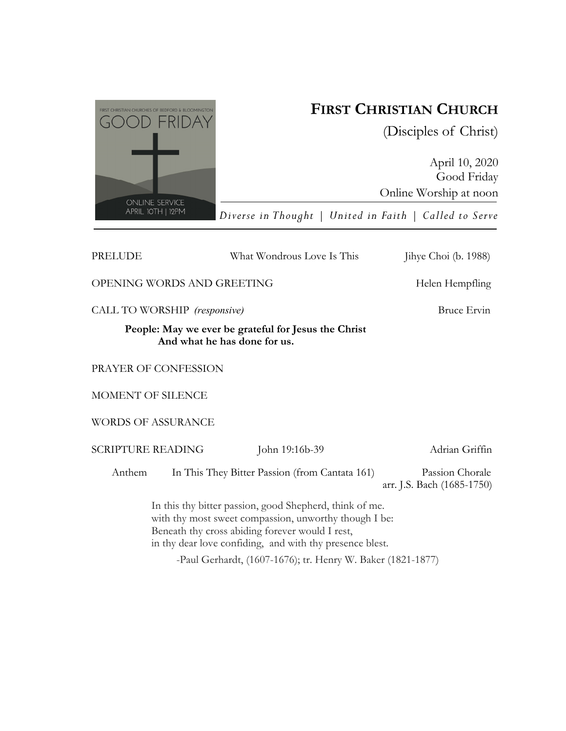

# **FIRST CHRISTIAN CHURCH**

(Disciples of Christ)

April 10, 2020 Good Friday Online Worship at noon

*Diverse in Thought | United in Faith | Called to Serve* 

| PRELUDE                                                                              |                                                                                                                                                                                                                                 | What Wondrous Love Is This                     | Jihye Choi (b. 1988)                          |
|--------------------------------------------------------------------------------------|---------------------------------------------------------------------------------------------------------------------------------------------------------------------------------------------------------------------------------|------------------------------------------------|-----------------------------------------------|
| OPENING WORDS AND GREETING                                                           |                                                                                                                                                                                                                                 |                                                | Helen Hempfling                               |
| CALL TO WORSHIP (responsive)                                                         |                                                                                                                                                                                                                                 |                                                | Bruce Ervin                                   |
| People: May we ever be grateful for Jesus the Christ<br>And what he has done for us. |                                                                                                                                                                                                                                 |                                                |                                               |
| PRAYER OF CONFESSION                                                                 |                                                                                                                                                                                                                                 |                                                |                                               |
| MOMENT OF SILENCE                                                                    |                                                                                                                                                                                                                                 |                                                |                                               |
| <b>WORDS OF ASSURANCE</b>                                                            |                                                                                                                                                                                                                                 |                                                |                                               |
| <b>SCRIPTURE READING</b>                                                             |                                                                                                                                                                                                                                 | John 19:16b-39                                 | Adrian Griffin                                |
| Anthem                                                                               |                                                                                                                                                                                                                                 | In This They Bitter Passion (from Cantata 161) | Passion Chorale<br>arr. J.S. Bach (1685-1750) |
|                                                                                      | In this thy bitter passion, good Shepherd, think of me.<br>with thy most sweet compassion, unworthy though I be:<br>Beneath thy cross abiding forever would I rest,<br>in thy dear love confiding, and with thy presence blest. |                                                |                                               |

-Paul Gerhardt, (1607-1676); tr. Henry W. Baker (1821-1877)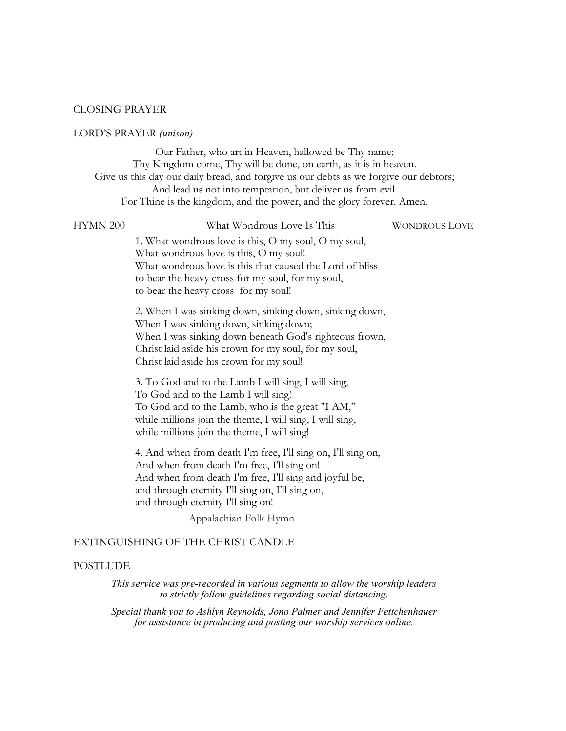### CLOSING PRAYER

## LORD'S PRAYER *(unison)*

Our Father, who art in Heaven, hallowed be Thy name; Thy Kingdom come, Thy will be done, on earth, as it is in heaven. Give us this day our daily bread, and forgive us our debts as we forgive our debtors; And lead us not into temptation, but deliver us from evil. For Thine is the kingdom, and the power, and the glory forever. Amen.

#### HYMN 200 What Wondrous Love Is This WONDROUS LOVE

1. What wondrous love is this, O my soul, O my soul, What wondrous love is this, O my soul! What wondrous love is this that caused the Lord of bliss to bear the heavy cross for my soul, for my soul, to bear the heavy cross for my soul!

2. When I was sinking down, sinking down, sinking down, When I was sinking down, sinking down; When I was sinking down beneath God's righteous frown, Christ laid aside his crown for my soul, for my soul, Christ laid aside his crown for my soul!

3. To God and to the Lamb I will sing, I will sing, To God and to the Lamb I will sing! To God and to the Lamb, who is the great "I AM," while millions join the theme, I will sing, I will sing, while millions join the theme, I will sing!

4. And when from death I'm free, I'll sing on, I'll sing on, And when from death I'm free, I'll sing on! And when from death I'm free, I'll sing and joyful be, and through eternity I'll sing on, I'll sing on, and through eternity I'll sing on!

-Appalachian Folk Hymn

# EXTINGUISHING OF THE CHRIST CANDLE

### POSTLUDE

*This service was pre-recorded in various segments to allow the worship leaders to strictly follow guidelines regarding social distancing.* 

*Special thank you to Ashlyn Reynolds, Jono Palmer and Jennifer Fettchenhauer for assistance in producing and posting our worship services online.*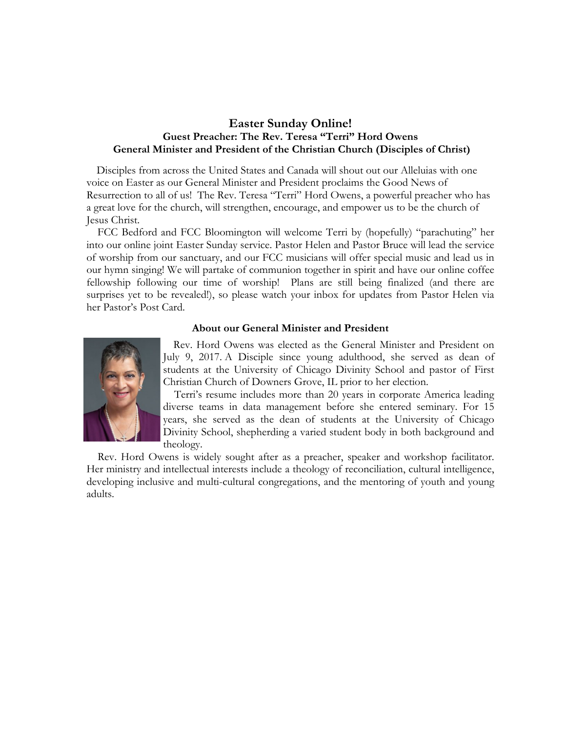# **Easter Sunday Online! Guest Preacher: The Rev. Teresa "Terri" Hord Owens General Minister and President of the Christian Church (Disciples of Christ)**

 Disciples from across the United States and Canada will shout out our Alleluias with one voice on Easter as our General Minister and President proclaims the Good News of Resurrection to all of us! The Rev. Teresa "Terri" Hord Owens, a powerful preacher who has a great love for the church, will strengthen, encourage, and empower us to be the church of Jesus Christ.

 FCC Bedford and FCC Bloomington will welcome Terri by (hopefully) "parachuting" her into our online joint Easter Sunday service. Pastor Helen and Pastor Bruce will lead the service of worship from our sanctuary, and our FCC musicians will offer special music and lead us in our hymn singing! We will partake of communion together in spirit and have our online coffee fellowship following our time of worship! Plans are still being finalized (and there are surprises yet to be revealed!), so please watch your inbox for updates from Pastor Helen via her Pastor's Post Card.

# **About our General Minister and President**



 Rev. Hord Owens was elected as the General Minister and President on July 9, 2017. A Disciple since young adulthood, she served as dean of students at the University of Chicago Divinity School and pastor of First Christian Church of Downers Grove, IL prior to her election.

 Terri's resume includes more than 20 years in corporate America leading diverse teams in data management before she entered seminary. For 15 years, she served as the dean of students at the University of Chicago Divinity School, shepherding a varied student body in both background and theology.

 Rev. Hord Owens is widely sought after as a preacher, speaker and workshop facilitator. Her ministry and intellectual interests include a theology of reconciliation, cultural intelligence, developing inclusive and multi-cultural congregations, and the mentoring of youth and young adults.